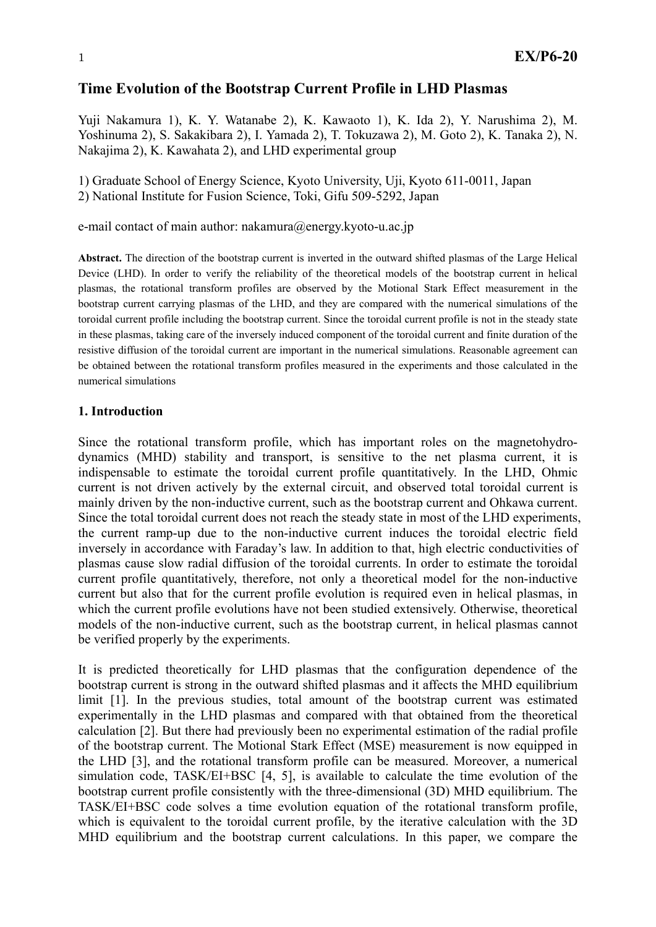# **Time Evolution of the Bootstrap Current Profile in LHD Plasmas**

Yuji Nakamura 1), K. Y. Watanabe 2), K. Kawaoto 1), K. Ida 2), Y. Narushima 2), M. Yoshinuma 2), S. Sakakibara 2), I. Yamada 2), T. Tokuzawa 2), M. Goto 2), K. Tanaka 2), N. Nakajima 2), K. Kawahata 2), and LHD experimental group

1) Graduate School of Energy Science, Kyoto University, Uji, Kyoto 611-0011, Japan 2) National Institute for Fusion Science, Toki, Gifu 509-5292, Japan

e-mail contact of main author: nakamura@energy.kyoto-u.ac.jp

**Abstract.** The direction of the bootstrap current is inverted in the outward shifted plasmas of the Large Helical Device (LHD). In order to verify the reliability of the theoretical models of the bootstrap current in helical plasmas, the rotational transform profiles are observed by the Motional Stark Effect measurement in the bootstrap current carrying plasmas of the LHD, and they are compared with the numerical simulations of the toroidal current profile including the bootstrap current. Since the toroidal current profile is not in the steady state in these plasmas, taking care of the inversely induced component of the toroidal current and finite duration of the resistive diffusion of the toroidal current are important in the numerical simulations. Reasonable agreement can be obtained between the rotational transform profiles measured in the experiments and those calculated in the numerical simulations

## **1. Introduction**

Since the rotational transform profile, which has important roles on the magnetohydrodynamics (MHD) stability and transport, is sensitive to the net plasma current, it is indispensable to estimate the toroidal current profile quantitatively. In the LHD, Ohmic current is not driven actively by the external circuit, and observed total toroidal current is mainly driven by the non-inductive current, such as the bootstrap current and Ohkawa current. Since the total toroidal current does not reach the steady state in most of the LHD experiments, the current ramp-up due to the non-inductive current induces the toroidal electric field inversely in accordance with Faraday's law. In addition to that, high electric conductivities of plasmas cause slow radial diffusion of the toroidal currents. In order to estimate the toroidal current profile quantitatively, therefore, not only a theoretical model for the non-inductive current but also that for the current profile evolution is required even in helical plasmas, in which the current profile evolutions have not been studied extensively. Otherwise, theoretical models of the non-inductive current, such as the bootstrap current, in helical plasmas cannot be verified properly by the experiments.

It is predicted theoretically for LHD plasmas that the configuration dependence of the bootstrap current is strong in the outward shifted plasmas and it affects the MHD equilibrium limit [1]. In the previous studies, total amount of the bootstrap current was estimated experimentally in the LHD plasmas and compared with that obtained from the theoretical calculation [2]. But there had previously been no experimental estimation of the radial profile of the bootstrap current. The Motional Stark Effect (MSE) measurement is now equipped in the LHD [3], and the rotational transform profile can be measured. Moreover, a numerical simulation code, TASK/EI+BSC [4, 5], is available to calculate the time evolution of the bootstrap current profile consistently with the three-dimensional (3D) MHD equilibrium. The TASK/EI+BSC code solves a time evolution equation of the rotational transform profile, which is equivalent to the toroidal current profile, by the iterative calculation with the 3D MHD equilibrium and the bootstrap current calculations. In this paper, we compare the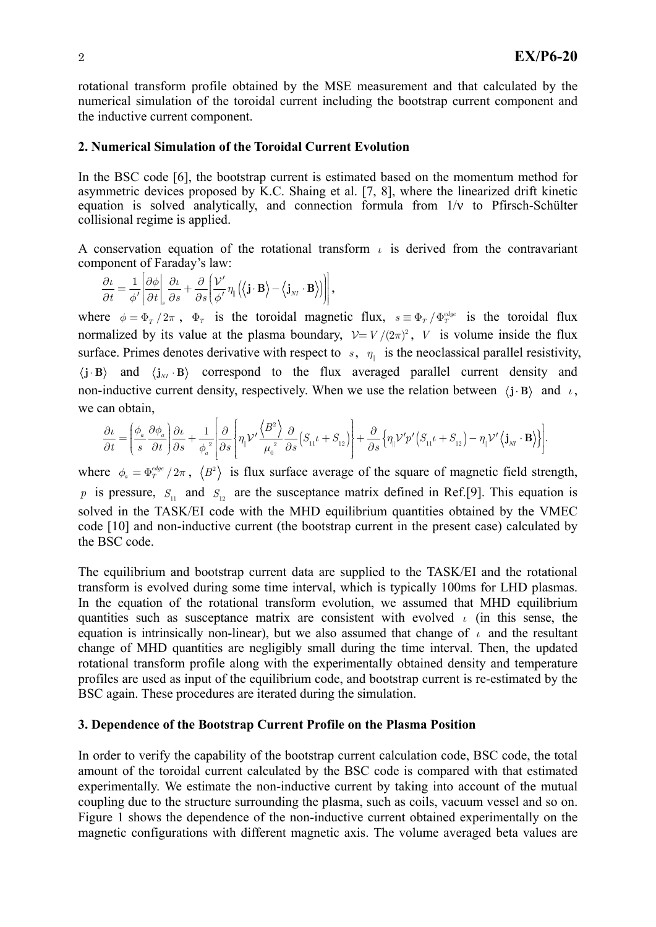rotational transform profile obtained by the MSE measurement and that calculated by the numerical simulation of the toroidal current including the bootstrap current component and the inductive current component.

## **2. Numerical Simulation of the Toroidal Current Evolution**

In the BSC code [6], the bootstrap current is estimated based on the momentum method for asymmetric devices proposed by K.C. Shaing et al. [7, 8], where the linearized drift kinetic equation is solved analytically, and connection formula from 1/ν to Pfirsch-Schülter collisional regime is applied.

A conservation equation of the rotational transform  $\iota$  is derived from the contravariant component of Faraday's law:

$$
\frac{\partial \iota}{\partial t} = \frac{1}{\phi'} \bigg[ \frac{\partial \phi}{\partial t}\bigg|_s \frac{\partial \iota}{\partial s} + \frac{\partial}{\partial s} \bigg( \frac{\mathcal{V}'}{\phi'} \eta_{\scriptscriptstyle \parallel} \Big( \big< \mathbf{j} \cdot \mathbf{B} \big> - \big< \mathbf{j}_{\rm\scriptscriptstyle NT} \cdot \mathbf{B} \big> \Big) \bigg) \bigg] \,,
$$

where  $\phi = \Phi_T / 2\pi$ ,  $\Phi_T$  is the toroidal magnetic flux,  $s = \Phi_T / \Phi_T^{edge}$  is the toroidal flux normalized by its value at the plasma boundary,  $V = V/(2\pi)^2$ , *V* is volume inside the flux surface. Primes denotes derivative with respect to *s*,  $\eta_{\parallel}$  is the neoclassical parallel resistivity,  $\mathbf{j} \cdot \mathbf{B}$  and  $\langle \mathbf{j}_M \cdot \mathbf{B} \rangle$  correspond to the flux averaged parallel current density and non-inductive current density, respectively. When we use the relation between  $\langle \mathbf{j} \cdot \mathbf{B} \rangle$  and *ι*, we can obtain,

$$
\frac{\partial \iota}{\partial t} = \left(\frac{\phi_{\mbox{\tiny a}}}{s}\frac{\partial \phi_{\mbox{\tiny a}}}{\partial t}\right)\hspace{-.2cm}\frac{\partial \iota}{\partial s} + \frac{1}{\phi_{\mbox{\tiny a}}^{\;2}}\!\!\left[\frac{\partial}{\partial s}\!\left\{\hspace{-.2cm}\eta_{\mbox{\tiny \parallel}}\mathcal{V}^\prime\frac{\left\langle B^2\right\rangle}{\mu_{\mbox{\tiny 0}}^{\;2}}\frac{\partial}{\partial s}\!\left(S_{\mbox{\tiny 11}}\iota + S_{\mbox{\tiny 12}}\right)\!\right] \hspace{-.2cm} + \frac{\partial}{\partial s}\!\left\{\hspace{-.2cm}\eta_{\mbox{\tiny \parallel}}\mathcal{V}^\prime p^\prime\!\left(S_{\mbox{\tiny 11}}\iota + S_{\mbox{\tiny 12}}\right) - \eta_{\mbox{\tiny \parallel}}\mathcal{V}^\prime\left\langle \mathbf{j}_\mathrm{M}\cdot\mathbf{B}\right\rangle\!\right)\!\right]\hspace{-.25cm} .
$$

where  $\phi_a = \Phi_T^{\text{edge}}/2\pi$ ,  $\langle B^2 \rangle$  is flux surface average of the square of magnetic field strength, p is pressure,  $S_{11}$  and  $S_{12}$  are the susceptance matrix defined in Ref.[9]. This equation is solved in the TASK/EI code with the MHD equilibrium quantities obtained by the VMEC code [10] and non-inductive current (the bootstrap current in the present case) calculated by the BSC code.

equation is intrinsically non-linear), but we also assumed that change of  $\iota$  and the resultant The equilibrium and bootstrap current data are supplied to the TASK/EI and the rotational transform is evolved during some time interval, which is typically 100ms for LHD plasmas. In the equation of the rotational transform evolution, we assumed that MHD equilibrium quantities such as susceptance matrix are consistent with evolved *ι* (in this sense, the change of MHD quantities are negligibly small during the time interval. Then, the updated rotational transform profile along with the experimentally obtained density and temperature profiles are used as input of the equilibrium code, and bootstrap current is re-estimated by the BSC again. These procedures are iterated during the simulation.

### **3. Dependence of the Bootstrap Current Profile on the Plasma Position**

In order to verify the capability of the bootstrap current calculation code, BSC code, the total amount of the toroidal current calculated by the BSC code is compared with that estimated experimentally. We estimate the non-inductive current by taking into account of the mutual coupling due to the structure surrounding the plasma, such as coils, vacuum vessel and so on. Figure 1 shows the dependence of the non-inductive current obtained experimentally on the magnetic configurations with different magnetic axis. The volume averaged beta values are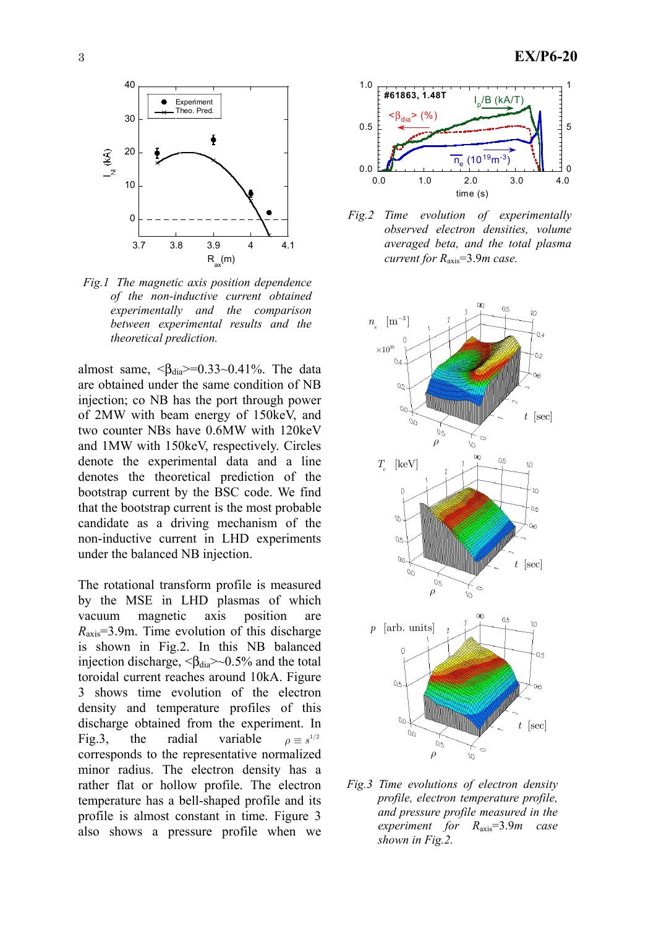

*Fig.1 The magnetic axis position dependence of the non-inductive current obtained experimentally and the comparison between experimental results and the theoretical prediction.* 

almost same,  $\langle \beta_{\text{dia}} \rangle = 0.33 \sim 0.41\%$ . The data are obtained under the same condition of NB injection; co NB has the port through power of 2MW with beam energy of 150keV, and two counter NBs have 0.6MW with 120keV and 1MW with 150keV, respectively. Circles denote the experimental data and a line denotes the theoretical prediction of the bootstrap current by the BSC code. We find that the bootstrap current is the most probable candidate as a driving mechanism of the non-inductive current in LHD experiments under the balanced NB injection.

The rotational transform profile is measured by the MSE in LHD plasmas of which vacuum magnetic axis position are *R*axis=3.9m. Time evolution of this discharge is shown in Fig.2. In this NB balanced injection discharge,  $\langle \beta_{dia} \rangle \sim 0.5\%$  and the total toroidal current reaches around 10kA. Figure 3 shows time evolution of the electron density and temperature profiles of this discharge obtained from the experiment. In Fig.3, the radial variable corresponds to the representative normalized minor radius. The electron density has a rather flat or hollow profile. The electron temperature has a bell-shaped profile and its profile is almost constant in time. Figure 3 also shows a pressure profile when we  $\rho \equiv s^{1/2}$ 



*Fig.2 Time evolution of experimentally observed electron densities, volume averaged beta, and the total plasma current for R*axis=3.9*m case.* 



*Fig.3 Time evolutions of electron density profile, electron temperature profile, and pressure profile measured in the experiment for R*axis=3.9*m case shown in Fig.2.*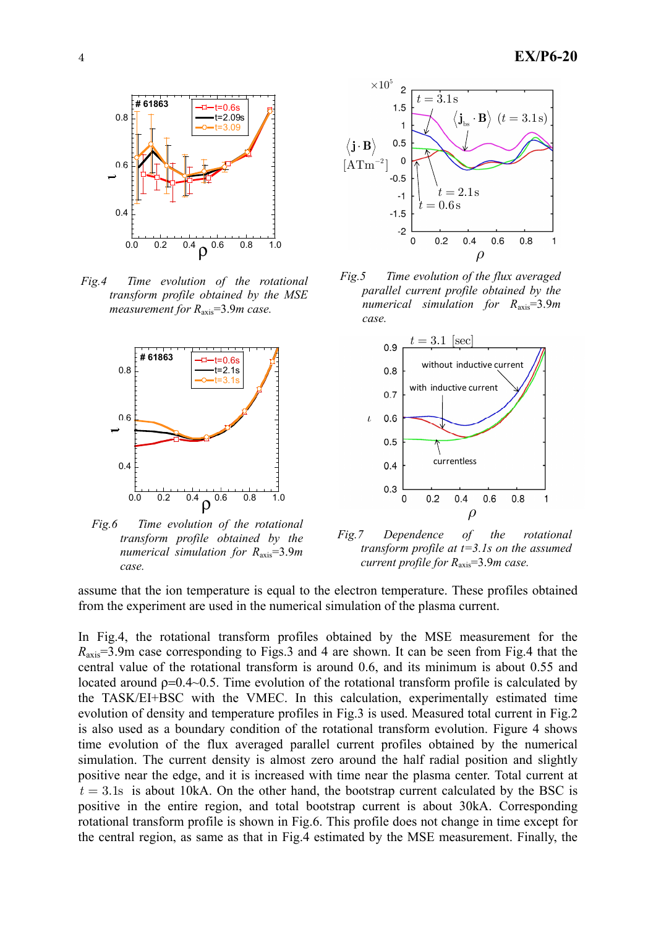

*Fig.4 Time evolution of the rotational transform profile obtained by the MSE measurement for R*axis=3.9*m case.* 



*Fig.6 Time evolution of the rotational transform profile obtained by the numerical simulation for R*axis=3.9*m case.* 



*Fig.5 Time evolution of the flux averaged parallel current profile obtained by the numerical simulation for R*axis=3.9*m case.*



*Fig.7 Dependence of the rotational transform profile at t=3.1s on the assumed current profile for R*axis=3.9*m case.*

assume that the ion temperature is equal to the electron temperature. These profiles obtained from the experiment are used in the numerical simulation of the plasma current.

In Fig.4, the rotational transform profiles obtained by the MSE measurement for the *R*axis=3.9m case corresponding to Figs.3 and 4 are shown. It can be seen from Fig.4 that the central value of the rotational transform is around 0.6, and its minimum is about 0.55 and located around  $p=0.4~0.5$ . Time evolution of the rotational transform profile is calculated by the TASK/EI+BSC with the VMEC. In this calculation, experimentally estimated time evolution of density and temperature profiles in Fig.3 is used. Measured total current in Fig.2 is also used as a boundary condition of the rotational transform evolution. Figure 4 shows time evolution of the flux averaged parallel current profiles obtained by the numerical simulation. The current density is almost zero around the half radial position and slightly positive near the edge, and it is increased with time near the plasma center. Total current at  $t = 3.1$ s is about 10kA. On the other hand, the bootstrap current calculated by the BSC is positive in the entire region, and total bootstrap current is about 30kA. Corresponding rotational transform profile is shown in Fig.6. This profile does not change in time except for the central region, as same as that in Fig.4 estimated by the MSE measurement. Finally, the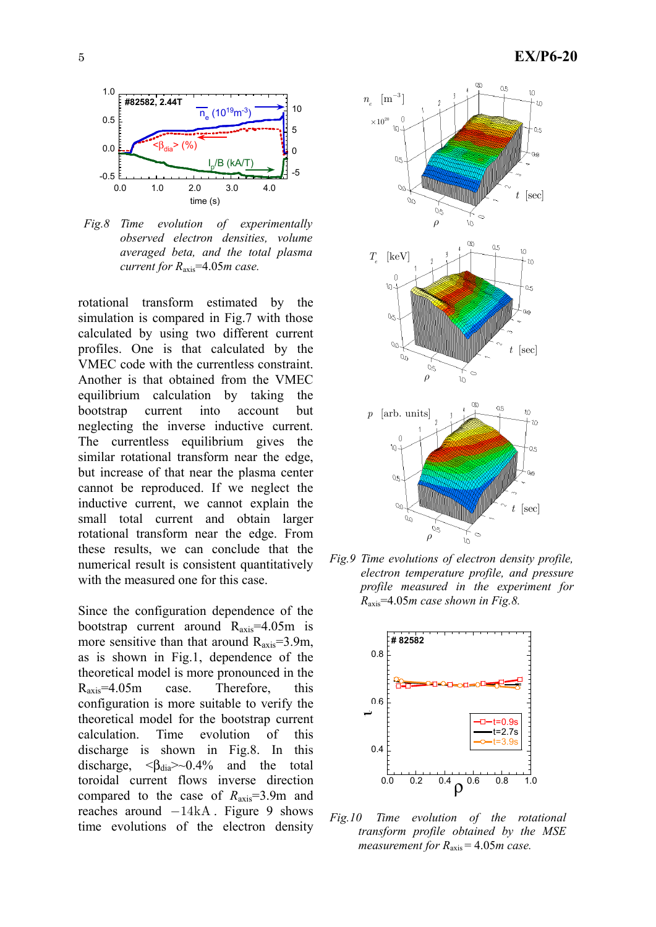

*Fig.8 Time evolution of experimentally observed electron densities, volume averaged beta, and the total plasma current for R*axis=4.05*m case.* 

rotational transform estimated by the simulation is compared in Fig.7 with those calculated by using two different current profiles. One is that calculated by the VMEC code with the currentless constraint. Another is that obtained from the VMEC equilibrium calculation by taking the bootstrap current into account but neglecting the inverse inductive current. The currentless equilibrium gives the similar rotational transform near the edge, but increase of that near the plasma center cannot be reproduced. If we neglect the inductive current, we cannot explain the small total current and obtain larger rotational transform near the edge. From these results, we can conclude that the numerical result is consistent quantitatively with the measured one for this case.

Since the configuration dependence of the bootstrap current around  $R_{axis} = 4.05$ m is more sensitive than that around  $R_{axis} = 3.9$ m, as is shown in Fig.1, dependence of the theoretical model is more pronounced in the Raxis=4.05m case. Therefore, this configuration is more suitable to verify the theoretical model for the bootstrap current calculation. Time evolution of this discharge is shown in Fig.8. In this discharge,  $\langle \beta_{dia} \rangle \sim 0.4\%$  and the total toroidal current flows inverse direction compared to the case of *R*axis=3.9m and reaches around  $-14kA$ . Figure 9 shows time evolutions of the electron density



*Fig.9 Time evolutions of electron density profile, electron temperature profile, and pressure profile measured in the experiment for R*axis=4.05*m case shown in Fig.8.* 



*Fig.10 Time evolution of the rotational transform profile obtained by the MSE measurement for R*axis = 4.05*m case.*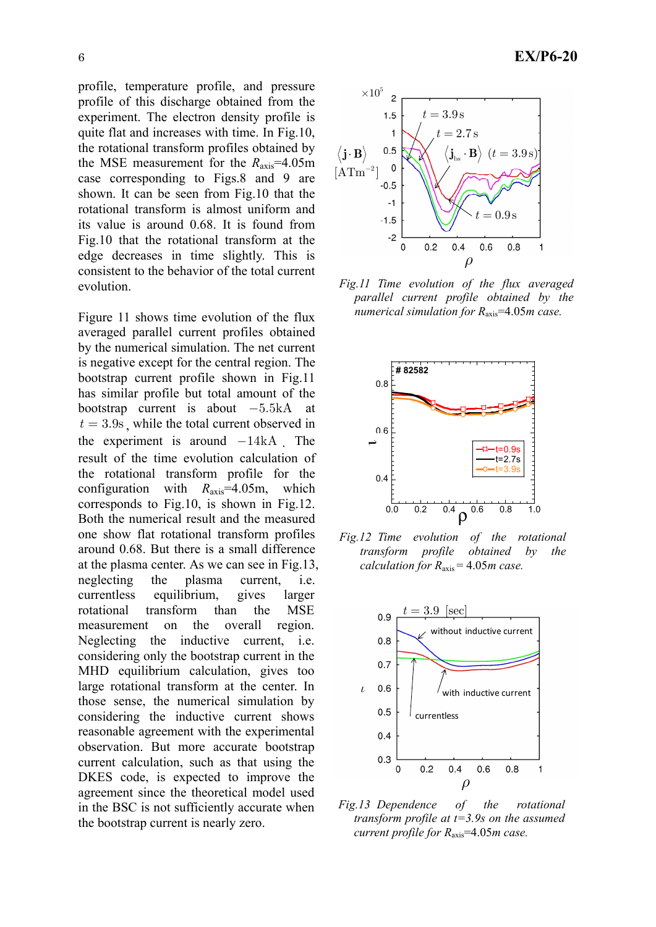profile, temperature profile, and pressure profile of this discharge obtained from the experiment. The electron density profile is quite flat and increases with time. In Fig.10, the rotational transform profiles obtained by the MSE measurement for the  $R_{\text{axis}}=4.05$ m case corresponding to Figs.8 and 9 are shown. It can be seen from Fig.10 that the rotational transform is almost uniform and its value is around 0.68. It is found from Fig.10 that the rotational transform at the edge decreases in time slightly. This is consistent to the behavior of the total current evolution.

Figure 11 shows time evolution of the flux averaged parallel current profiles obtained by the numerical simulation. The net current is negative except for the central region. The bootstrap current profile shown in Fig.11 has similar profile but total amount of the bootstrap current is about  $-5.5kA$  at  $t = 3.9$ s, while the total current observed in the experiment is around  $-14kA$ . The result of the time evolution calculation of the rotational transform profile for the configuration with *R*axis=4.05m, which corresponds to Fig.10, is shown in Fig.12. Both the numerical result and the measured one show flat rotational transform profiles around 0.68. But there is a small difference at the plasma center. As we can see in Fig.13, neglecting the plasma current, i.e. currentless equilibrium, gives larger rotational transform than the MSE measurement on the overall region. Neglecting the inductive current, i.e. considering only the bootstrap current in the MHD equilibrium calculation, gives too large rotational transform at the center. In those sense, the numerical simulation by considering the inductive current shows reasonable agreement with the experimental observation. But more accurate bootstrap current calculation, such as that using the DKES code, is expected to improve the agreement since the theoretical model used in the BSC is not sufficiently accurate when the bootstrap current is nearly zero.



*Fig.11 Time evolution of the flux averaged parallel current profile obtained by the numerical simulation for R*axis=4.05*m case.*



*Fig.12 Time evolution of the rotational transform profile obtained by the calculation for R*axis = 4.05*m case.* 



*Fig.13 Dependence of the rotational transform profile at t=3.9s on the assumed current profile for R*axis=4.05*m case.*